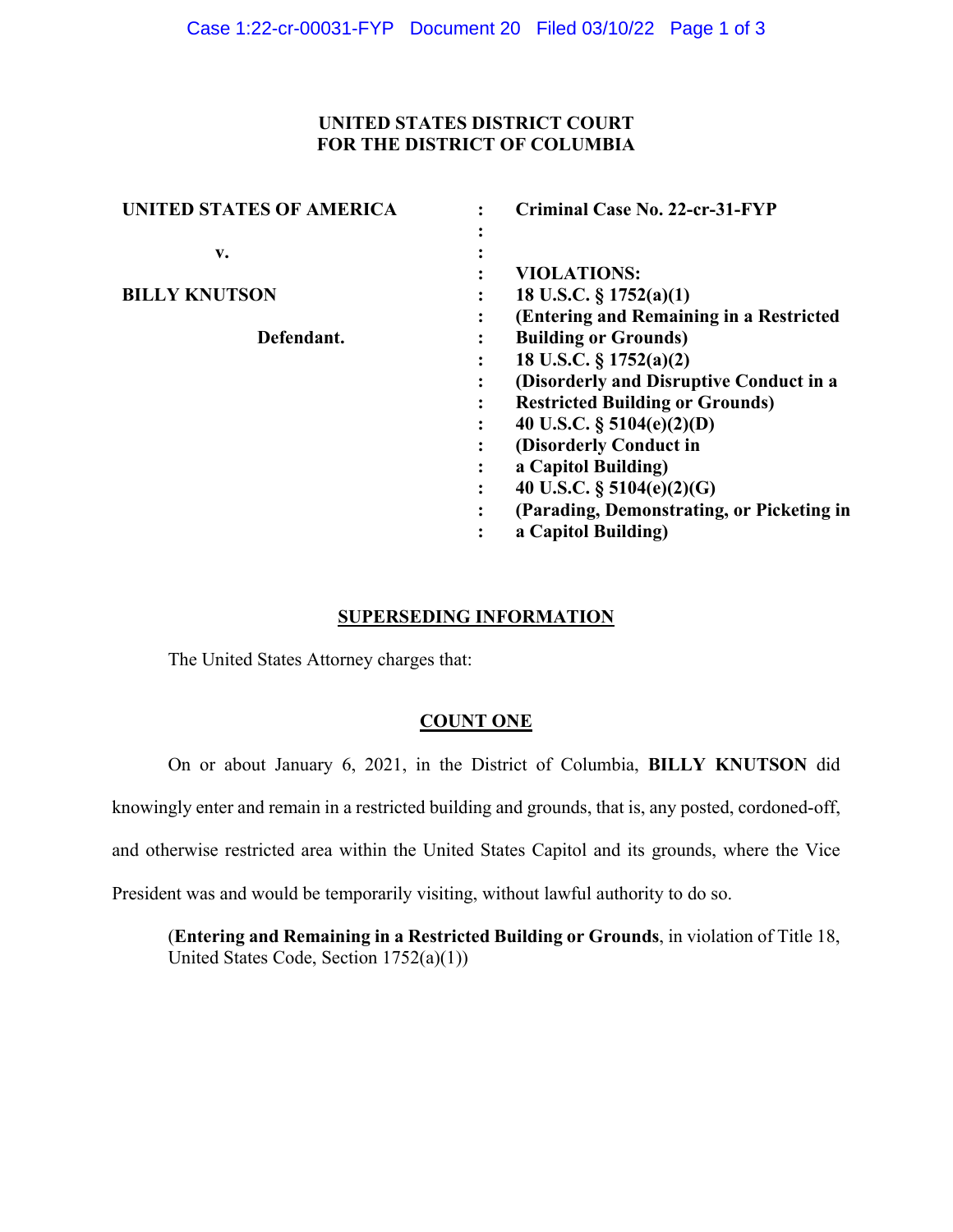# **UNITED STATES DISTRICT COURT FOR THE DISTRICT OF COLUMBIA**

| <b>UNITED STATES OF AMERICA</b> | Criminal Case No. 22-cr-31-FYP            |
|---------------------------------|-------------------------------------------|
|                                 |                                           |
| v.                              |                                           |
|                                 | <b>VIOLATIONS:</b>                        |
| <b>BILLY KNUTSON</b>            | 18 U.S.C. $\S 1752(a)(1)$                 |
|                                 | (Entering and Remaining in a Restricted   |
| Defendant.                      | <b>Building or Grounds)</b>               |
|                                 | 18 U.S.C. § 1752(a)(2)                    |
|                                 | (Disorderly and Disruptive Conduct in a   |
|                                 | <b>Restricted Building or Grounds)</b>    |
|                                 | 40 U.S.C. $\S$ 5104(e)(2)(D)              |
|                                 | (Disorderly Conduct in                    |
|                                 | a Capitol Building)                       |
|                                 | 40 U.S.C. $\S$ 5104(e)(2)(G)              |
|                                 | (Parading, Demonstrating, or Picketing in |
|                                 | a Capitol Building)                       |

### **SUPERSEDING INFORMATION**

The United States Attorney charges that:

# **COUNT ONE**

On or about January 6, 2021, in the District of Columbia, **BILLY KNUTSON** did

knowingly enter and remain in a restricted building and grounds, that is, any posted, cordoned-off,

and otherwise restricted area within the United States Capitol and its grounds, where the Vice

President was and would be temporarily visiting, without lawful authority to do so.

(**Entering and Remaining in a Restricted Building or Grounds**, in violation of Title 18, United States Code, Section 1752(a)(1))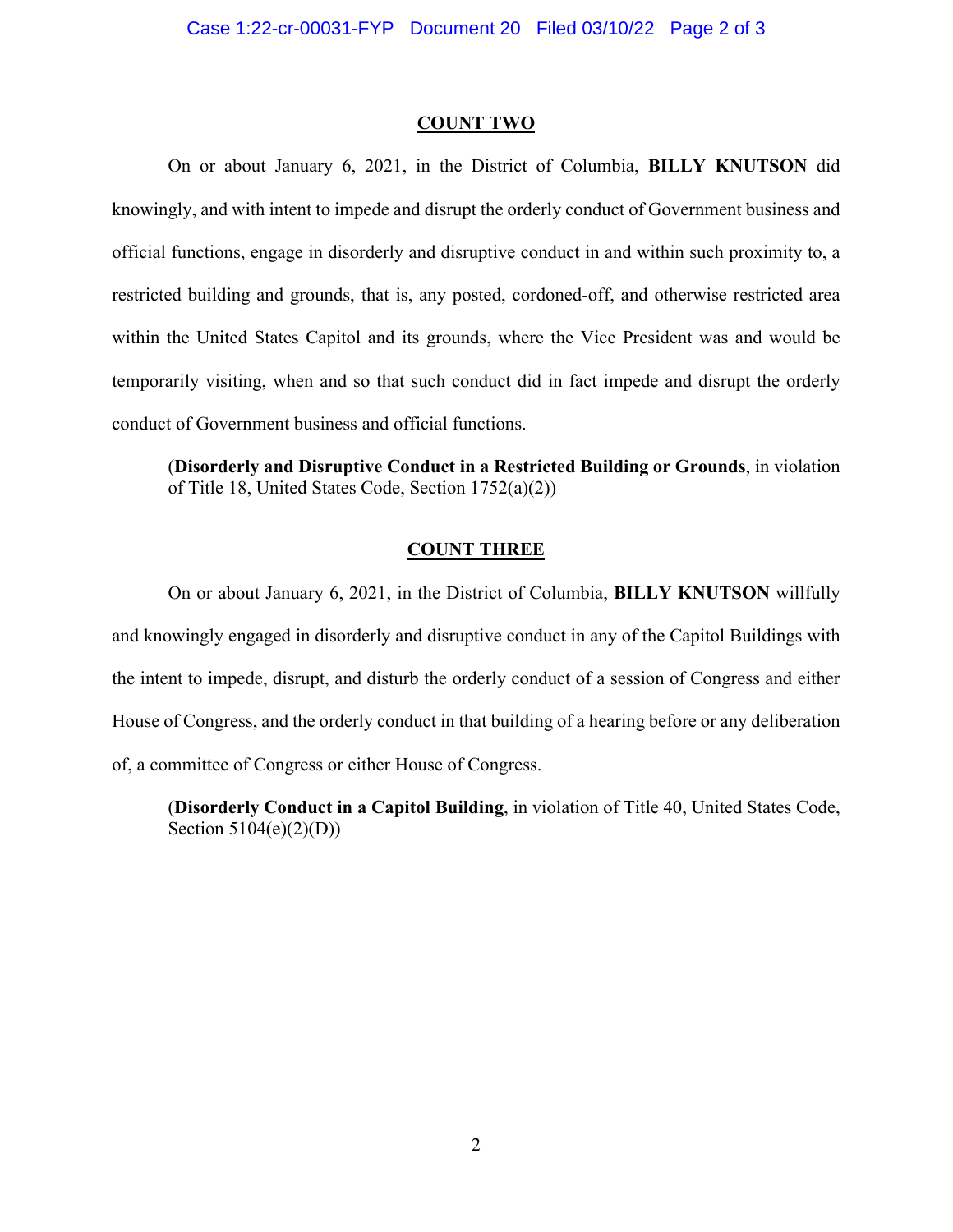#### **COUNT TWO**

On or about January 6, 2021, in the District of Columbia, **BILLY KNUTSON** did knowingly, and with intent to impede and disrupt the orderly conduct of Government business and official functions, engage in disorderly and disruptive conduct in and within such proximity to, a restricted building and grounds, that is, any posted, cordoned-off, and otherwise restricted area within the United States Capitol and its grounds, where the Vice President was and would be temporarily visiting, when and so that such conduct did in fact impede and disrupt the orderly conduct of Government business and official functions.

(**Disorderly and Disruptive Conduct in a Restricted Building or Grounds**, in violation of Title 18, United States Code, Section 1752(a)(2))

## **COUNT THREE**

On or about January 6, 2021, in the District of Columbia, **BILLY KNUTSON** willfully and knowingly engaged in disorderly and disruptive conduct in any of the Capitol Buildings with the intent to impede, disrupt, and disturb the orderly conduct of a session of Congress and either House of Congress, and the orderly conduct in that building of a hearing before or any deliberation of, a committee of Congress or either House of Congress.

(**Disorderly Conduct in a Capitol Building**, in violation of Title 40, United States Code, Section 5104(e)(2)(D))